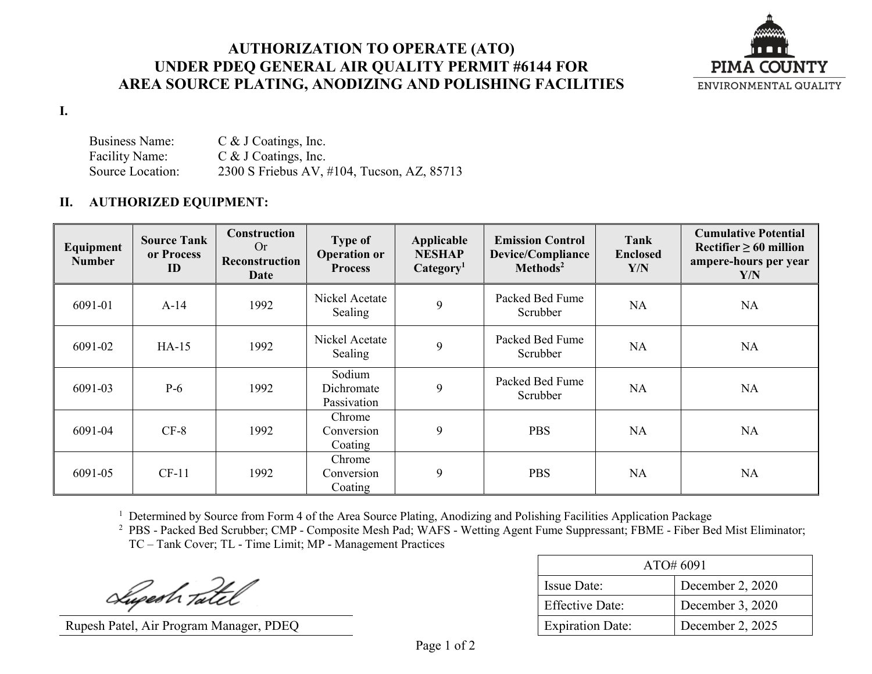## **AUTHORIZATION TO OPERATE (ATO) UNDER PDEQ GENERAL AIR QUALITY PERMIT #6144 FOR AREA SOURCE PLATING, ANODIZING AND POLISHING FACILITIES**



## **I.**

Business Name: C & J Coatings, Inc. Facility Name: C & J Coatings, Inc.<br>Source Location: 2300 S Friebus AV. 2300 S Friebus AV, #104, Tucson, AZ, 85713

## **II. AUTHORIZED EQUIPMENT:**

| Equipment<br><b>Number</b> | <b>Source Tank</b><br>or Process<br>ID | <b>Construction</b><br>Or<br><b>Reconstruction</b><br>Date | <b>Type of</b><br><b>Operation or</b><br><b>Process</b> | Applicable<br><b>NESHAP</b><br>Categorical <sub>1</sub> | <b>Emission Control</b><br><b>Device/Compliance</b><br>Methods <sup>2</sup> | Tank<br><b>Enclosed</b><br>Y/N | <b>Cumulative Potential</b><br>Rectifier $\geq 60$ million<br>ampere-hours per year<br>Y/N |
|----------------------------|----------------------------------------|------------------------------------------------------------|---------------------------------------------------------|---------------------------------------------------------|-----------------------------------------------------------------------------|--------------------------------|--------------------------------------------------------------------------------------------|
| 6091-01                    | $A-14$                                 | 1992                                                       | Nickel Acetate<br>Sealing                               | 9                                                       | Packed Bed Fume<br>Scrubber                                                 | <b>NA</b>                      | <b>NA</b>                                                                                  |
| 6091-02                    | $HA-15$                                | 1992                                                       | Nickel Acetate<br>Sealing                               | 9                                                       | Packed Bed Fume<br>Scrubber                                                 | <b>NA</b>                      | <b>NA</b>                                                                                  |
| 6091-03                    | $P-6$                                  | 1992                                                       | Sodium<br>Dichromate<br>Passivation                     | 9                                                       | Packed Bed Fume<br>Scrubber                                                 | <b>NA</b>                      | <b>NA</b>                                                                                  |
| 6091-04                    | $CF-8$                                 | 1992                                                       | Chrome<br>Conversion<br>Coating                         | 9                                                       | <b>PBS</b>                                                                  | <b>NA</b>                      | <b>NA</b>                                                                                  |
| 6091-05                    | $CF-11$                                | 1992                                                       | Chrome<br>Conversion<br>Coating                         | 9                                                       | <b>PBS</b>                                                                  | <b>NA</b>                      | <b>NA</b>                                                                                  |

<sup>1</sup> Determined by Source from Form 4 of the Area Source Plating, Anodizing and Polishing Facilities Application Package

<sup>2</sup> PBS - Packed Bed Scrubber; CMP - Composite Mesh Pad; WAFS - Wetting Agent Fume Suppressant; FBME - Fiber Bed Mist Eliminator; TC – Tank Cover; TL - Time Limit; MP - Management Practices

Lugesh Tatel

Rupesh Patel, Air Program Manager, PDEQ

| $\triangle$ TO# 6091    |                  |  |
|-------------------------|------------------|--|
| Issue Date:             | December 2, 2020 |  |
| <b>Effective Date:</b>  | December 3, 2020 |  |
| <b>Expiration Date:</b> | December 2, 2025 |  |